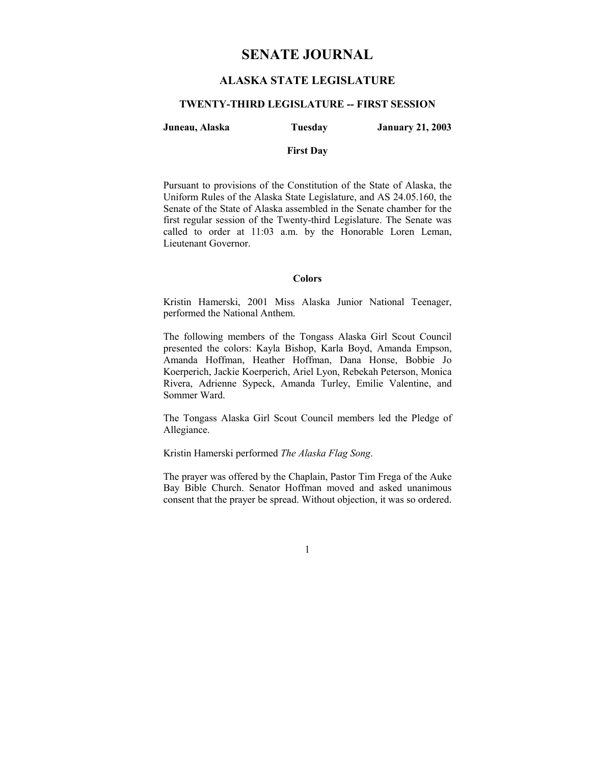# **SENATE JOURNAL**

# **ALASKA STATE LEGISLATURE**

### **TWENTY-THIRD LEGISLATURE -- FIRST SESSION**

### **Juneau, Alaska Tuesday January 21, 2003**

### **First Day**

Pursuant to provisions of the Constitution of the State of Alaska, the Uniform Rules of the Alaska State Legislature, and AS 24.05.160, the Senate of the State of Alaska assembled in the Senate chamber for the first regular session of the Twenty-third Legislature. The Senate was called to order at 11:03 a.m. by the Honorable Loren Leman, Lieutenant Governor.

#### **Colors**

Kristin Hamerski, 2001 Miss Alaska Junior National Teenager, performed the National Anthem.

The following members of the Tongass Alaska Girl Scout Council presented the colors: Kayla Bishop, Karla Boyd, Amanda Empson, Amanda Hoffman, Heather Hoffman, Dana Honse, Bobbie Jo Koerperich, Jackie Koerperich, Ariel Lyon, Rebekah Peterson, Monica Rivera, Adrienne Sypeck, Amanda Turley, Emilie Valentine, and Sommer Ward.

The Tongass Alaska Girl Scout Council members led the Pledge of Allegiance.

Kristin Hamerski performed *The Alaska Flag Song*.

The prayer was offered by the Chaplain, Pastor Tim Frega of the Auke Bay Bible Church. Senator Hoffman moved and asked unanimous consent that the prayer be spread. Without objection, it was so ordered.

1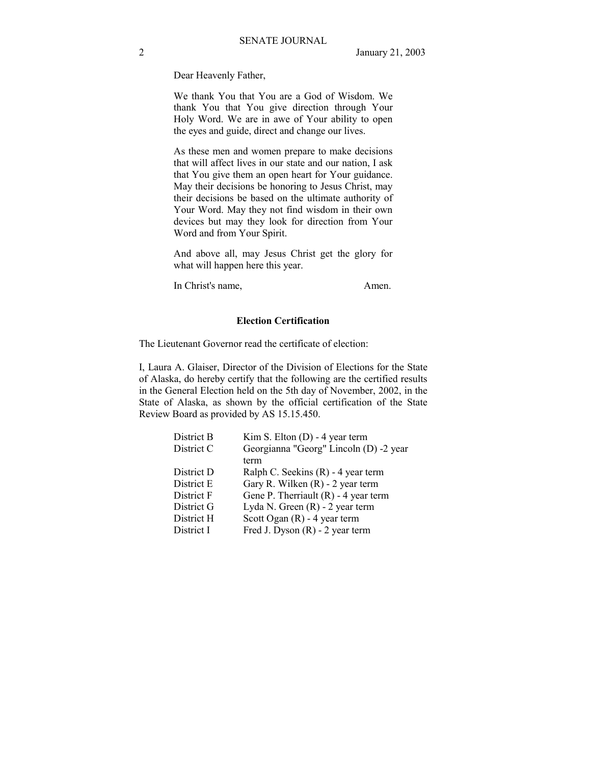Dear Heavenly Father,

We thank You that You are a God of Wisdom. We thank You that You give direction through Your Holy Word. We are in awe of Your ability to open the eyes and guide, direct and change our lives.

As these men and women prepare to make decisions that will affect lives in our state and our nation, I ask that You give them an open heart for Your guidance. May their decisions be honoring to Jesus Christ, may their decisions be based on the ultimate authority of Your Word. May they not find wisdom in their own devices but may they look for direction from Your Word and from Your Spirit.

And above all, may Jesus Christ get the glory for what will happen here this year.

In Christ's name, Amen.

### **Election Certification**

The Lieutenant Governor read the certificate of election:

I, Laura A. Glaiser, Director of the Division of Elections for the State of Alaska, do hereby certify that the following are the certified results in the General Election held on the 5th day of November, 2002, in the State of Alaska, as shown by the official certification of the State Review Board as provided by AS 15.15.450.

| District B | Kim S. Elton $(D)$ - 4 year term       |
|------------|----------------------------------------|
| District C | Georgianna "Georg" Lincoln (D) -2 year |
|            | term                                   |
| District D | Ralph C. Seekins (R) - 4 year term     |
| District E | Gary R. Wilken (R) - 2 year term       |
| District F | Gene P. Therriault $(R)$ - 4 year term |
| District G | Lyda N. Green $(R)$ - 2 year term      |
| District H | Scott Ogan $(R)$ - 4 year term         |
| District I | Fred J. Dyson $(R)$ - 2 year term      |
|            |                                        |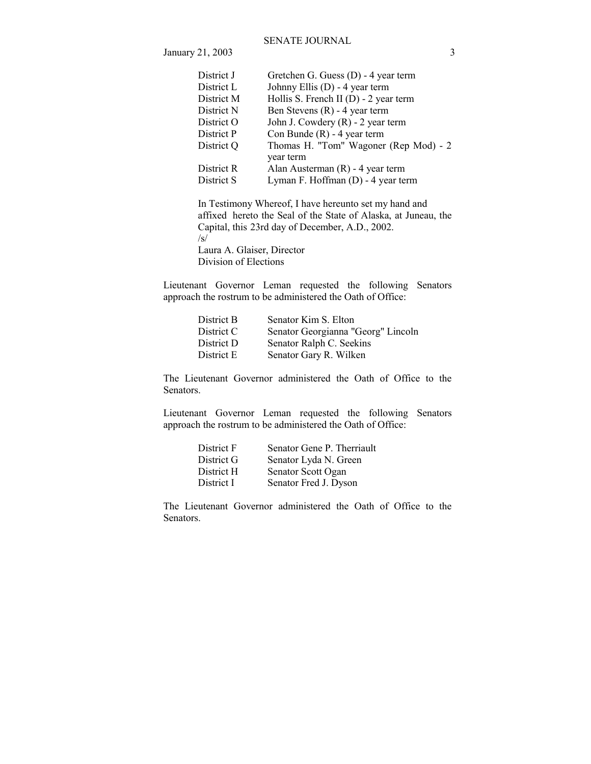### SENATE JOURNAL

**January 21, 2003** 3

| District J | Gretchen G. Guess (D) - 4 year term     |
|------------|-----------------------------------------|
| District L | Johnny Ellis (D) - 4 year term          |
| District M | Hollis S. French II $(D) - 2$ year term |
| District N | Ben Stevens $(R)$ - 4 year term         |
| District O | John J. Cowdery (R) - 2 year term       |
| District P | Con Bunde $(R)$ - 4 year term           |
| District Q | Thomas H. "Tom" Wagoner (Rep Mod) - 2   |
|            | year term                               |
| District R | Alan Austerman $(R)$ - 4 year term      |
| District S | Lyman F. Hoffman (D) - 4 year term      |
|            |                                         |

 In Testimony Whereof, I have hereunto set my hand and affixed hereto the Seal of the State of Alaska, at Juneau, the Capital, this 23rd day of December, A.D., 2002. /s/ Laura A. Glaiser, Director

Division of Elections

Lieutenant Governor Leman requested the following Senators approach the rostrum to be administered the Oath of Office:

| Senator Kim S. Elton               |
|------------------------------------|
| Senator Georgianna "Georg" Lincoln |
| Senator Ralph C. Seekins           |
| Senator Gary R. Wilken             |
|                                    |

The Lieutenant Governor administered the Oath of Office to the Senators.

Lieutenant Governor Leman requested the following Senators approach the rostrum to be administered the Oath of Office:

| Senator Gene P. Therriault |
|----------------------------|
| Senator Lyda N. Green      |
| Senator Scott Ogan         |
| Senator Fred J. Dyson      |
|                            |

The Lieutenant Governor administered the Oath of Office to the Senators.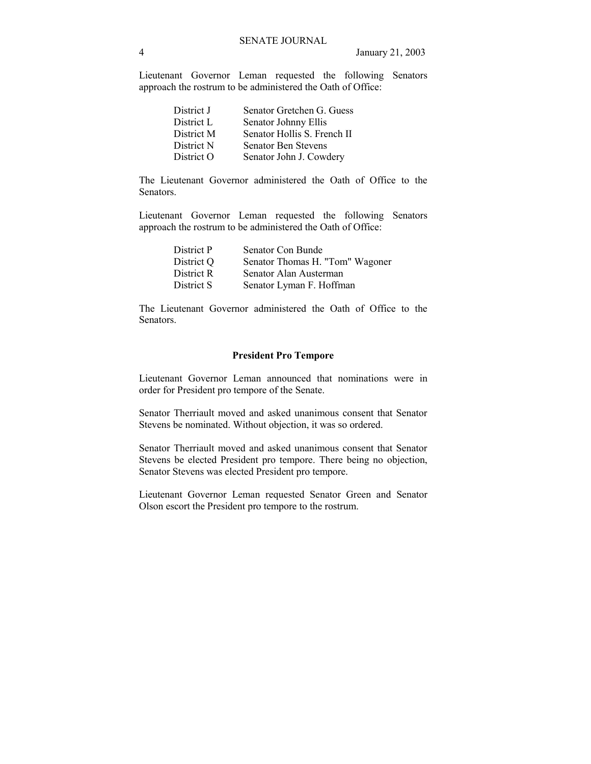Lieutenant Governor Leman requested the following Senators approach the rostrum to be administered the Oath of Office:

| District J | Senator Gretchen G. Guess   |
|------------|-----------------------------|
| District L | Senator Johnny Ellis        |
| District M | Senator Hollis S. French II |
| District N | <b>Senator Ben Stevens</b>  |
| District O | Senator John J. Cowdery     |
|            |                             |

The Lieutenant Governor administered the Oath of Office to the Senators.

Lieutenant Governor Leman requested the following Senators approach the rostrum to be administered the Oath of Office:

| Senator Con Bunde               |
|---------------------------------|
| Senator Thomas H. "Tom" Wagoner |
| Senator Alan Austerman          |
| Senator Lyman F. Hoffman        |
|                                 |

The Lieutenant Governor administered the Oath of Office to the Senators.

### **President Pro Tempore**

Lieutenant Governor Leman announced that nominations were in order for President pro tempore of the Senate.

Senator Therriault moved and asked unanimous consent that Senator Stevens be nominated. Without objection, it was so ordered.

Senator Therriault moved and asked unanimous consent that Senator Stevens be elected President pro tempore. There being no objection, Senator Stevens was elected President pro tempore.

Lieutenant Governor Leman requested Senator Green and Senator Olson escort the President pro tempore to the rostrum.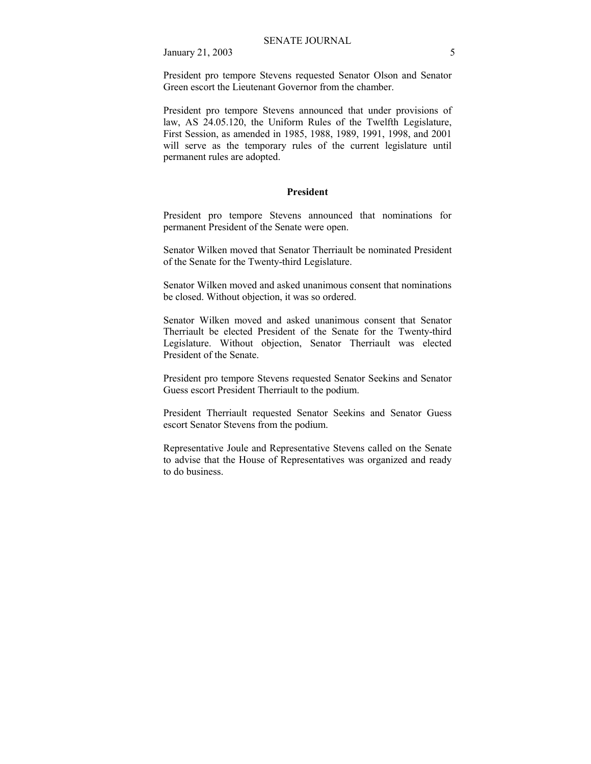President pro tempore Stevens requested Senator Olson and Senator Green escort the Lieutenant Governor from the chamber.

President pro tempore Stevens announced that under provisions of law, AS 24.05.120, the Uniform Rules of the Twelfth Legislature, First Session, as amended in 1985, 1988, 1989, 1991, 1998, and 2001 will serve as the temporary rules of the current legislature until permanent rules are adopted.

### **President**

President pro tempore Stevens announced that nominations for permanent President of the Senate were open.

Senator Wilken moved that Senator Therriault be nominated President of the Senate for the Twenty-third Legislature.

Senator Wilken moved and asked unanimous consent that nominations be closed. Without objection, it was so ordered.

Senator Wilken moved and asked unanimous consent that Senator Therriault be elected President of the Senate for the Twenty-third Legislature. Without objection, Senator Therriault was elected President of the Senate.

President pro tempore Stevens requested Senator Seekins and Senator Guess escort President Therriault to the podium.

President Therriault requested Senator Seekins and Senator Guess escort Senator Stevens from the podium.

Representative Joule and Representative Stevens called on the Senate to advise that the House of Representatives was organized and ready to do business.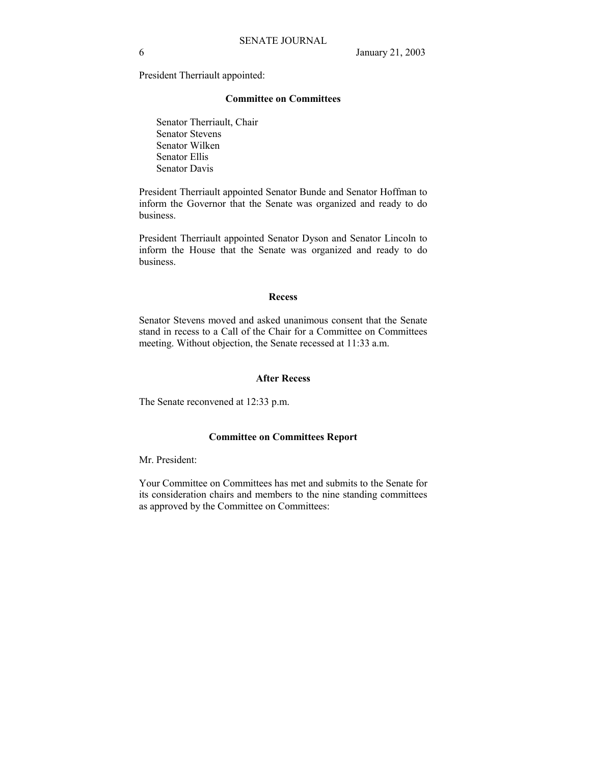President Therriault appointed:

#### **Committee on Committees**

 Senator Therriault, Chair Senator Stevens Senator Wilken Senator Ellis Senator Davis

President Therriault appointed Senator Bunde and Senator Hoffman to inform the Governor that the Senate was organized and ready to do business.

President Therriault appointed Senator Dyson and Senator Lincoln to inform the House that the Senate was organized and ready to do business.

### **Recess**

Senator Stevens moved and asked unanimous consent that the Senate stand in recess to a Call of the Chair for a Committee on Committees meeting. Without objection, the Senate recessed at 11:33 a.m.

### **After Recess**

The Senate reconvened at 12:33 p.m.

### **Committee on Committees Report**

Mr. President:

Your Committee on Committees has met and submits to the Senate for its consideration chairs and members to the nine standing committees as approved by the Committee on Committees: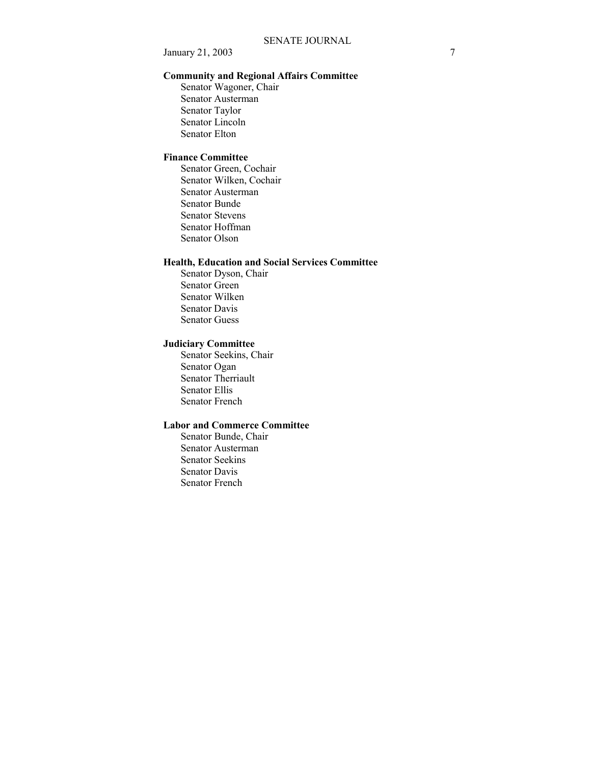### **Community and Regional Affairs Committee**

 Senator Wagoner, Chair Senator Austerman Senator Taylor Senator Lincoln Senator Elton

# **Finance Committee**

 Senator Green, Cochair Senator Wilken, Cochair Senator Austerman Senator Bunde Senator Stevens Senator Hoffman Senator Olson

### **Health, Education and Social Services Committee**

 Senator Dyson, Chair Senator Green Senator Wilken Senator Davis Senator Guess

### **Judiciary Committee**

 Senator Seekins, Chair Senator Ogan Senator Therriault Senator Ellis Senator French

# **Labor and Commerce Committee**

 Senator Bunde, Chair Senator Austerman Senator Seekins Senator Davis Senator French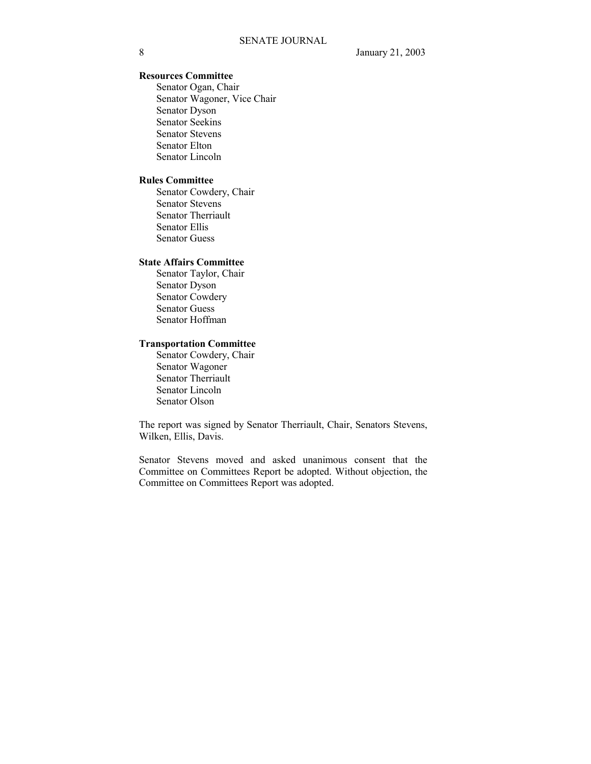# **Resources Committee**

 Senator Ogan, Chair Senator Wagoner, Vice Chair Senator Dyson Senator Seekins Senator Stevens Senator Elton Senator Lincoln

### **Rules Committee**

 Senator Cowdery, Chair Senator Stevens Senator Therriault Senator Ellis Senator Guess

### **State Affairs Committee**

 Senator Taylor, Chair Senator Dyson Senator Cowdery Senator Guess Senator Hoffman

# **Transportation Committee**

 Senator Cowdery, Chair Senator Wagoner Senator Therriault Senator Lincoln Senator Olson

The report was signed by Senator Therriault, Chair, Senators Stevens, Wilken, Ellis, Davis.

Senator Stevens moved and asked unanimous consent that the Committee on Committees Report be adopted. Without objection, the Committee on Committees Report was adopted.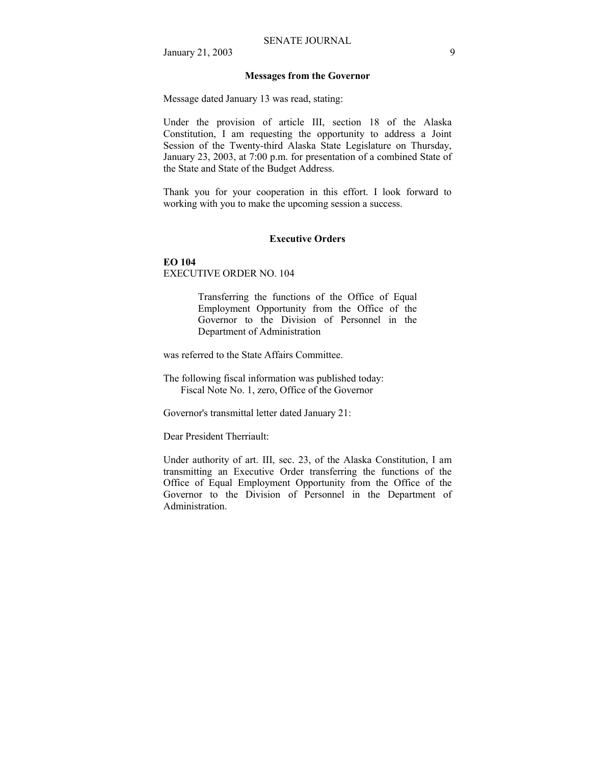### **Messages from the Governor**

Message dated January 13 was read, stating:

Under the provision of article III, section 18 of the Alaska Constitution, I am requesting the opportunity to address a Joint Session of the Twenty-third Alaska State Legislature on Thursday, January 23, 2003, at 7:00 p.m. for presentation of a combined State of the State and State of the Budget Address.

Thank you for your cooperation in this effort. I look forward to working with you to make the upcoming session a success.

### **Executive Orders**

### **EO 104**

EXECUTIVE ORDER NO. 104

Transferring the functions of the Office of Equal Employment Opportunity from the Office of the Governor to the Division of Personnel in the Department of Administration

was referred to the State Affairs Committee.

The following fiscal information was published today: Fiscal Note No. 1, zero, Office of the Governor

Governor's transmittal letter dated January 21:

Dear President Therriault:

Under authority of art. III, sec. 23, of the Alaska Constitution, I am transmitting an Executive Order transferring the functions of the Office of Equal Employment Opportunity from the Office of the Governor to the Division of Personnel in the Department of Administration.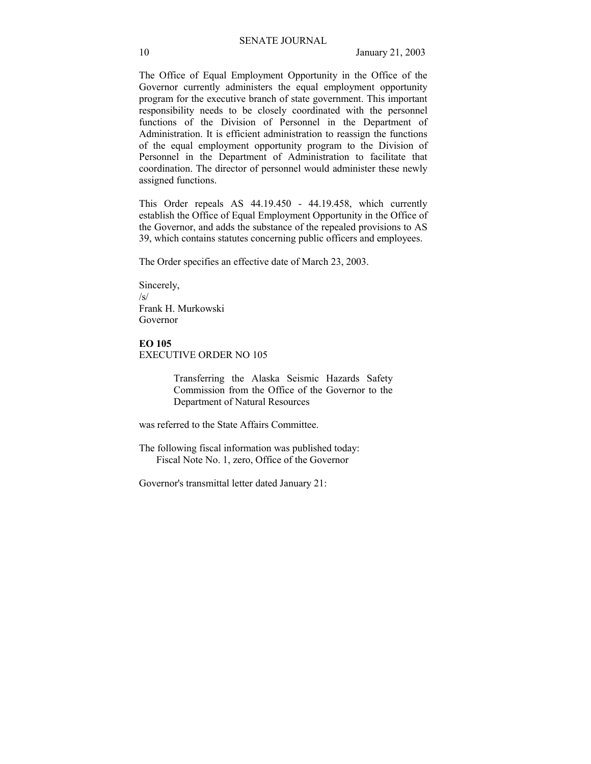The Office of Equal Employment Opportunity in the Office of the Governor currently administers the equal employment opportunity program for the executive branch of state government. This important responsibility needs to be closely coordinated with the personnel functions of the Division of Personnel in the Department of Administration. It is efficient administration to reassign the functions of the equal employment opportunity program to the Division of Personnel in the Department of Administration to facilitate that coordination. The director of personnel would administer these newly assigned functions.

This Order repeals AS 44.19.450 - 44.19.458, which currently establish the Office of Equal Employment Opportunity in the Office of the Governor, and adds the substance of the repealed provisions to AS 39, which contains statutes concerning public officers and employees.

The Order specifies an effective date of March 23, 2003.

Sincerely,  $\sqrt{s}$ Frank H. Murkowski Governor

#### **EO 105**  EXECUTIVE ORDER NO 105

Transferring the Alaska Seismic Hazards Safety Commission from the Office of the Governor to the Department of Natural Resources

was referred to the State Affairs Committee.

The following fiscal information was published today: Fiscal Note No. 1, zero, Office of the Governor

Governor's transmittal letter dated January 21: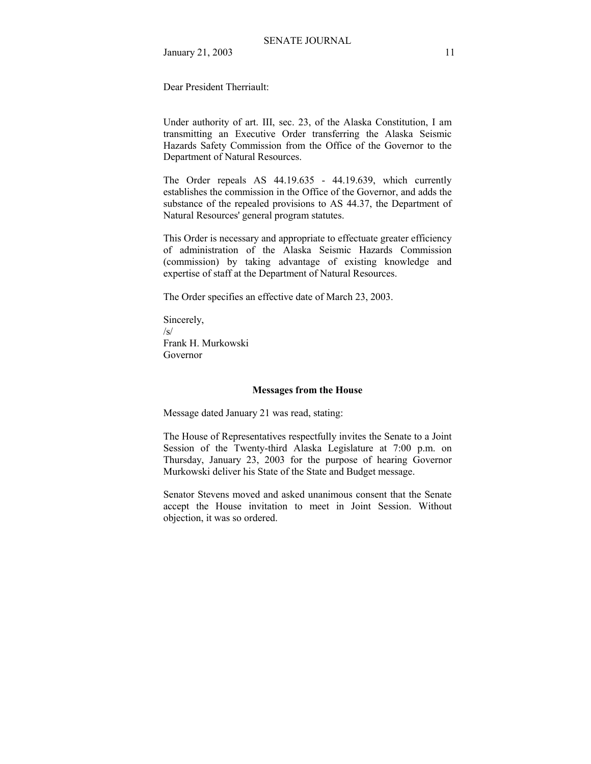Dear President Therriault:

Under authority of art. III, sec. 23, of the Alaska Constitution, I am transmitting an Executive Order transferring the Alaska Seismic Hazards Safety Commission from the Office of the Governor to the Department of Natural Resources.

The Order repeals AS 44.19.635 - 44.19.639, which currently establishes the commission in the Office of the Governor, and adds the substance of the repealed provisions to AS 44.37, the Department of Natural Resources' general program statutes.

This Order is necessary and appropriate to effectuate greater efficiency of administration of the Alaska Seismic Hazards Commission (commission) by taking advantage of existing knowledge and expertise of staff at the Department of Natural Resources.

The Order specifies an effective date of March 23, 2003.

Sincerely,  $\sqrt{s}$ Frank H. Murkowski Governor

### **Messages from the House**

Message dated January 21 was read, stating:

The House of Representatives respectfully invites the Senate to a Joint Session of the Twenty-third Alaska Legislature at 7:00 p.m. on Thursday, January 23, 2003 for the purpose of hearing Governor Murkowski deliver his State of the State and Budget message.

Senator Stevens moved and asked unanimous consent that the Senate accept the House invitation to meet in Joint Session. Without objection, it was so ordered.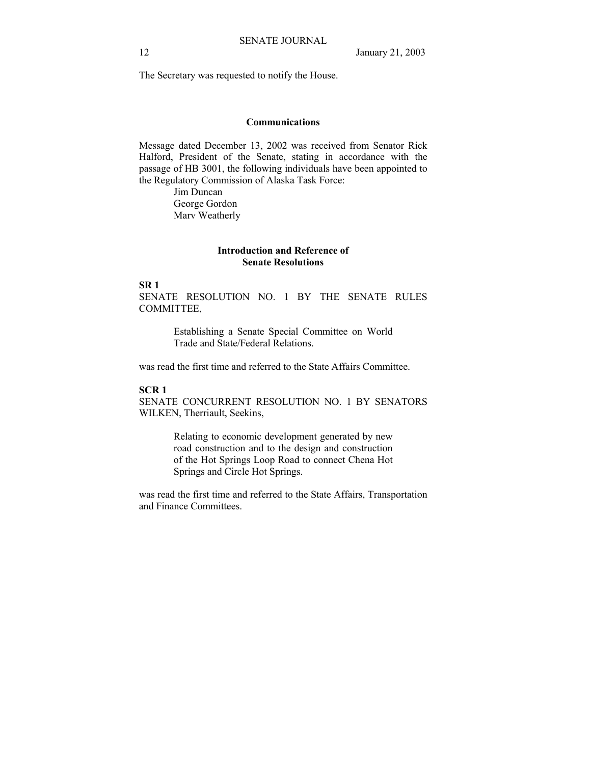The Secretary was requested to notify the House.

### **Communications**

Message dated December 13, 2002 was received from Senator Rick Halford, President of the Senate, stating in accordance with the passage of HB 3001, the following individuals have been appointed to the Regulatory Commission of Alaska Task Force:

> Jim Duncan George Gordon Marv Weatherly

### **Introduction and Reference of Senate Resolutions**

**SR 1** 

SENATE RESOLUTION NO. 1 BY THE SENATE RULES COMMITTEE,

> Establishing a Senate Special Committee on World Trade and State/Federal Relations.

was read the first time and referred to the State Affairs Committee.

### **SCR 1**

SENATE CONCURRENT RESOLUTION NO. 1 BY SENATORS WILKEN, Therriault, Seekins,

> Relating to economic development generated by new road construction and to the design and construction of the Hot Springs Loop Road to connect Chena Hot Springs and Circle Hot Springs.

was read the first time and referred to the State Affairs, Transportation and Finance Committees.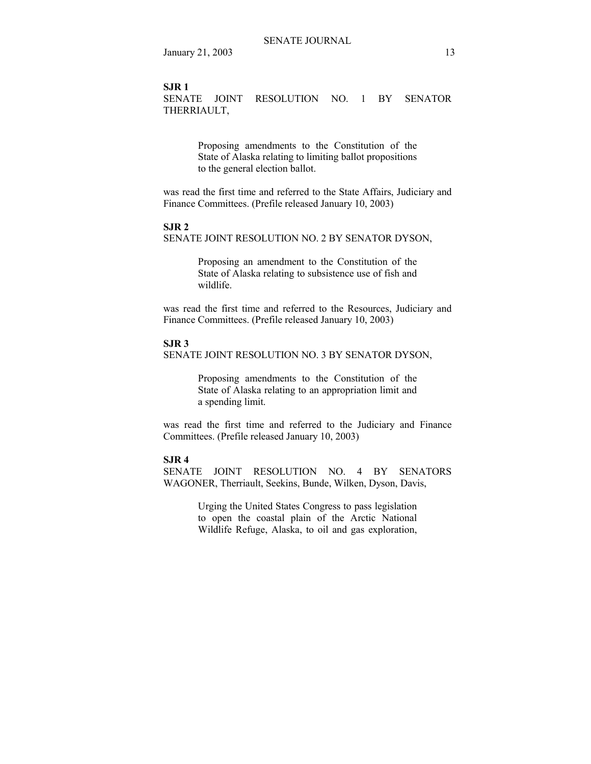#### **SJR 1**

SENATE JOINT RESOLUTION NO. 1 BY SENATOR THERRIAULT,

> Proposing amendments to the Constitution of the State of Alaska relating to limiting ballot propositions to the general election ballot.

was read the first time and referred to the State Affairs, Judiciary and Finance Committees. (Prefile released January 10, 2003)

#### **SJR 2**

SENATE JOINT RESOLUTION NO. 2 BY SENATOR DYSON,

Proposing an amendment to the Constitution of the State of Alaska relating to subsistence use of fish and wildlife.

was read the first time and referred to the Resources, Judiciary and Finance Committees. (Prefile released January 10, 2003)

#### **SJR 3**

SENATE JOINT RESOLUTION NO. 3 BY SENATOR DYSON,

Proposing amendments to the Constitution of the State of Alaska relating to an appropriation limit and a spending limit.

was read the first time and referred to the Judiciary and Finance Committees. (Prefile released January 10, 2003)

### **SJR 4**

SENATE JOINT RESOLUTION NO. 4 BY SENATORS WAGONER, Therriault, Seekins, Bunde, Wilken, Dyson, Davis,

> Urging the United States Congress to pass legislation to open the coastal plain of the Arctic National Wildlife Refuge, Alaska, to oil and gas exploration,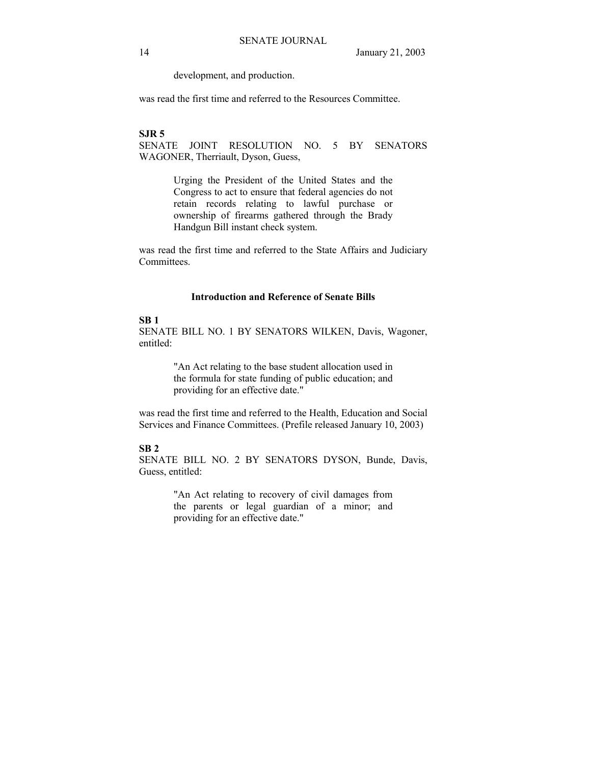development, and production.

was read the first time and referred to the Resources Committee.

### **SJR 5**

SENATE JOINT RESOLUTION NO. 5 BY SENATORS WAGONER, Therriault, Dyson, Guess,

> Urging the President of the United States and the Congress to act to ensure that federal agencies do not retain records relating to lawful purchase or ownership of firearms gathered through the Brady Handgun Bill instant check system.

was read the first time and referred to the State Affairs and Judiciary Committees.

### **Introduction and Reference of Senate Bills**

# **SB 1**

SENATE BILL NO. 1 BY SENATORS WILKEN, Davis, Wagoner, entitled:

> "An Act relating to the base student allocation used in the formula for state funding of public education; and providing for an effective date."

was read the first time and referred to the Health, Education and Social Services and Finance Committees. (Prefile released January 10, 2003)

### **SB 2**

SENATE BILL NO. 2 BY SENATORS DYSON, Bunde, Davis, Guess, entitled:

> "An Act relating to recovery of civil damages from the parents or legal guardian of a minor; and providing for an effective date."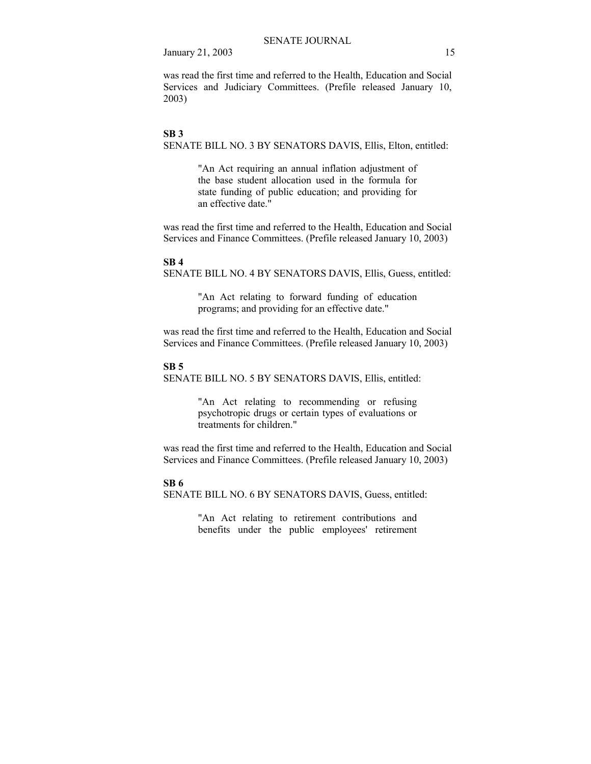was read the first time and referred to the Health, Education and Social Services and Judiciary Committees. (Prefile released January 10, 2003)

### **SB 3**

SENATE BILL NO. 3 BY SENATORS DAVIS, Ellis, Elton, entitled:

"An Act requiring an annual inflation adjustment of the base student allocation used in the formula for state funding of public education; and providing for an effective date."

was read the first time and referred to the Health, Education and Social Services and Finance Committees. (Prefile released January 10, 2003)

#### **SB 4**

SENATE BILL NO. 4 BY SENATORS DAVIS, Ellis, Guess, entitled:

"An Act relating to forward funding of education programs; and providing for an effective date."

was read the first time and referred to the Health, Education and Social Services and Finance Committees. (Prefile released January 10, 2003)

### **SB 5**

SENATE BILL NO. 5 BY SENATORS DAVIS, Ellis, entitled:

"An Act relating to recommending or refusing psychotropic drugs or certain types of evaluations or treatments for children."

was read the first time and referred to the Health, Education and Social Services and Finance Committees. (Prefile released January 10, 2003)

### **SB 6**

SENATE BILL NO. 6 BY SENATORS DAVIS, Guess, entitled:

"An Act relating to retirement contributions and benefits under the public employees' retirement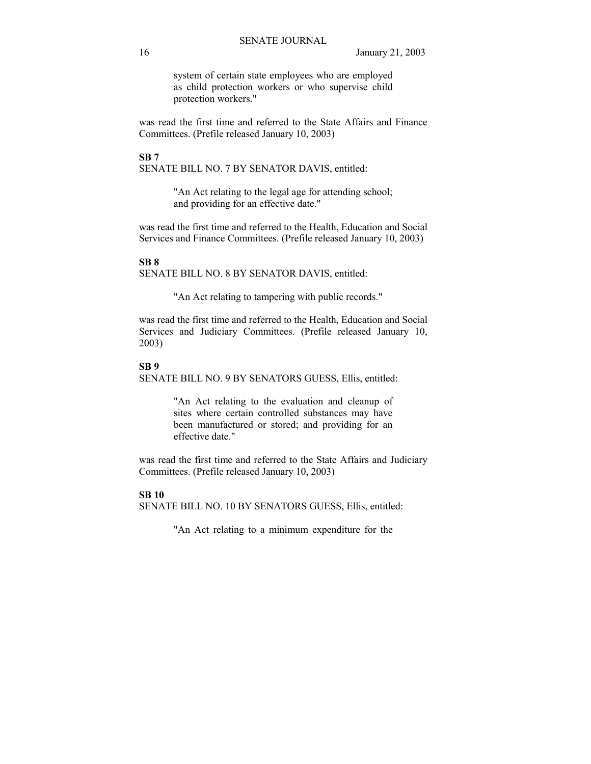system of certain state employees who are employed as child protection workers or who supervise child protection workers."

was read the first time and referred to the State Affairs and Finance Committees. (Prefile released January 10, 2003)

**SB 7**  SENATE BILL NO. 7 BY SENATOR DAVIS, entitled:

> "An Act relating to the legal age for attending school; and providing for an effective date."

was read the first time and referred to the Health, Education and Social Services and Finance Committees. (Prefile released January 10, 2003)

#### **SB 8**

SENATE BILL NO. 8 BY SENATOR DAVIS, entitled:

"An Act relating to tampering with public records."

was read the first time and referred to the Health, Education and Social Services and Judiciary Committees. (Prefile released January 10, 2003)

#### **SB 9**

SENATE BILL NO. 9 BY SENATORS GUESS, Ellis, entitled:

"An Act relating to the evaluation and cleanup of sites where certain controlled substances may have been manufactured or stored; and providing for an effective date."

was read the first time and referred to the State Affairs and Judiciary Committees. (Prefile released January 10, 2003)

### **SB 10**

SENATE BILL NO. 10 BY SENATORS GUESS, Ellis, entitled:

"An Act relating to a minimum expenditure for the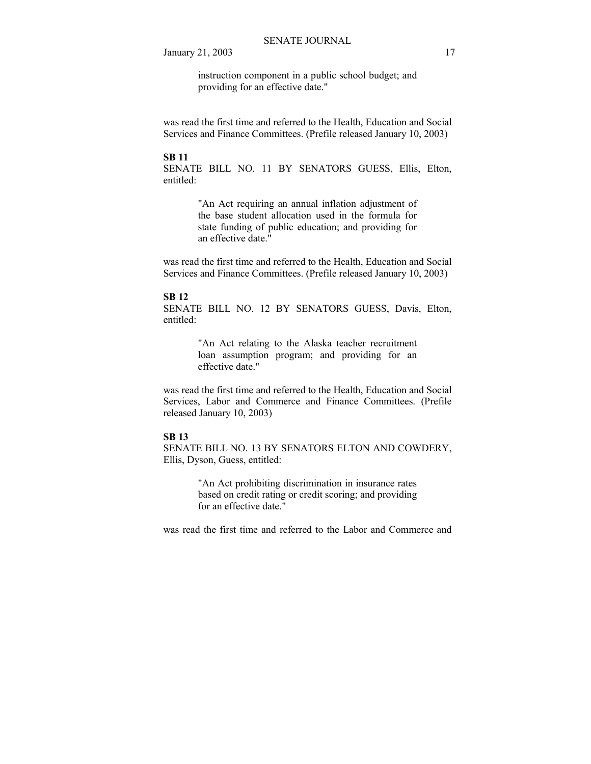instruction component in a public school budget; and providing for an effective date."

was read the first time and referred to the Health, Education and Social Services and Finance Committees. (Prefile released January 10, 2003)

#### **SB 11**

SENATE BILL NO. 11 BY SENATORS GUESS, Ellis, Elton, entitled:

> "An Act requiring an annual inflation adjustment of the base student allocation used in the formula for state funding of public education; and providing for an effective date."

was read the first time and referred to the Health, Education and Social Services and Finance Committees. (Prefile released January 10, 2003)

### **SB 12**

SENATE BILL NO. 12 BY SENATORS GUESS, Davis, Elton, entitled:

> "An Act relating to the Alaska teacher recruitment loan assumption program; and providing for an effective date."

was read the first time and referred to the Health, Education and Social Services, Labor and Commerce and Finance Committees. (Prefile released January 10, 2003)

### **SB 13**

SENATE BILL NO. 13 BY SENATORS ELTON AND COWDERY, Ellis, Dyson, Guess, entitled:

> "An Act prohibiting discrimination in insurance rates based on credit rating or credit scoring; and providing for an effective date."

was read the first time and referred to the Labor and Commerce and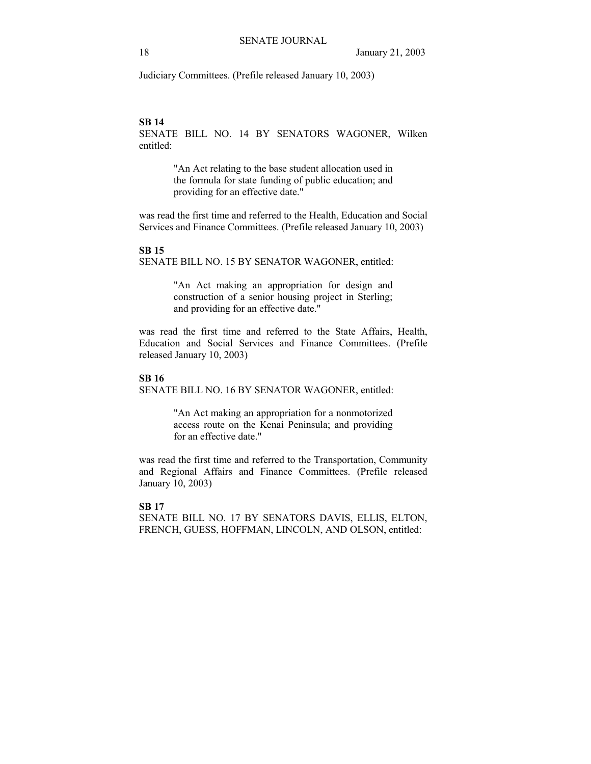Judiciary Committees. (Prefile released January 10, 2003)

# **SB 14**

SENATE BILL NO. 14 BY SENATORS WAGONER, Wilken entitled:

> "An Act relating to the base student allocation used in the formula for state funding of public education; and providing for an effective date."

was read the first time and referred to the Health, Education and Social Services and Finance Committees. (Prefile released January 10, 2003)

#### **SB 15**

SENATE BILL NO. 15 BY SENATOR WAGONER, entitled:

"An Act making an appropriation for design and construction of a senior housing project in Sterling; and providing for an effective date."

was read the first time and referred to the State Affairs, Health, Education and Social Services and Finance Committees. (Prefile released January 10, 2003)

### **SB 16**

SENATE BILL NO. 16 BY SENATOR WAGONER, entitled:

"An Act making an appropriation for a nonmotorized access route on the Kenai Peninsula; and providing for an effective date."

was read the first time and referred to the Transportation, Community and Regional Affairs and Finance Committees. (Prefile released January 10, 2003)

#### **SB 17**

SENATE BILL NO. 17 BY SENATORS DAVIS, ELLIS, ELTON, FRENCH, GUESS, HOFFMAN, LINCOLN, AND OLSON, entitled: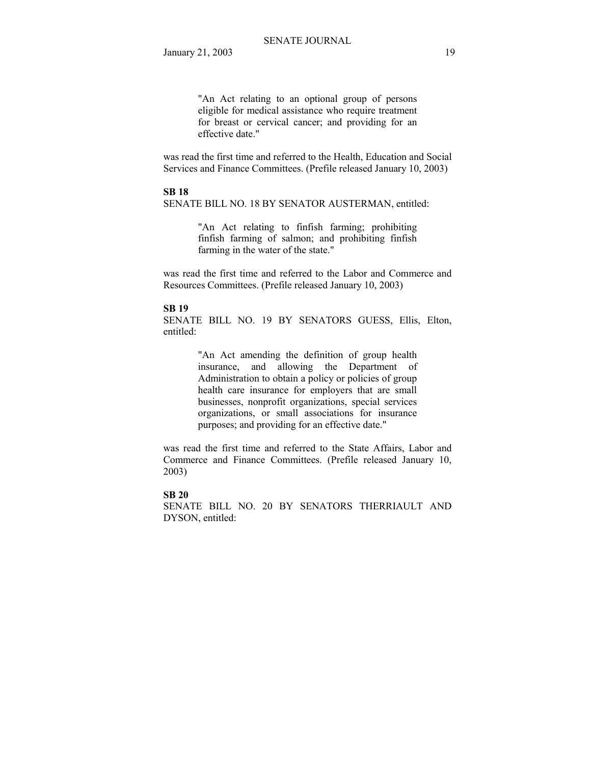"An Act relating to an optional group of persons eligible for medical assistance who require treatment for breast or cervical cancer; and providing for an effective date."

was read the first time and referred to the Health, Education and Social Services and Finance Committees. (Prefile released January 10, 2003)

# **SB 18**

SENATE BILL NO. 18 BY SENATOR AUSTERMAN, entitled:

"An Act relating to finfish farming; prohibiting finfish farming of salmon; and prohibiting finfish farming in the water of the state."

was read the first time and referred to the Labor and Commerce and Resources Committees. (Prefile released January 10, 2003)

#### **SB 19**

SENATE BILL NO. 19 BY SENATORS GUESS, Ellis, Elton, entitled:

> "An Act amending the definition of group health insurance, and allowing the Department of Administration to obtain a policy or policies of group health care insurance for employers that are small businesses, nonprofit organizations, special services organizations, or small associations for insurance purposes; and providing for an effective date."

was read the first time and referred to the State Affairs, Labor and Commerce and Finance Committees. (Prefile released January 10, 2003)

# **SB 20**

SENATE BILL NO. 20 BY SENATORS THERRIAULT AND DYSON, entitled: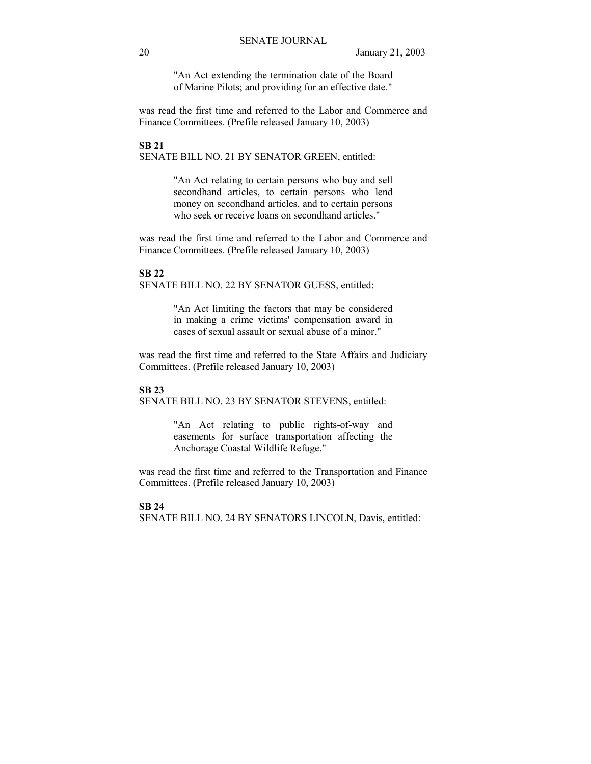"An Act extending the termination date of the Board of Marine Pilots; and providing for an effective date."

was read the first time and referred to the Labor and Commerce and Finance Committees. (Prefile released January 10, 2003)

### **SB 21**  SENATE BILL NO. 21 BY SENATOR GREEN, entitled:

"An Act relating to certain persons who buy and sell secondhand articles, to certain persons who lend money on secondhand articles, and to certain persons who seek or receive loans on secondhand articles."

was read the first time and referred to the Labor and Commerce and Finance Committees. (Prefile released January 10, 2003)

# **SB 22**

SENATE BILL NO. 22 BY SENATOR GUESS, entitled:

"An Act limiting the factors that may be considered in making a crime victims' compensation award in cases of sexual assault or sexual abuse of a minor."

was read the first time and referred to the State Affairs and Judiciary Committees. (Prefile released January 10, 2003)

### **SB 23**

SENATE BILL NO. 23 BY SENATOR STEVENS, entitled:

"An Act relating to public rights-of-way and easements for surface transportation affecting the Anchorage Coastal Wildlife Refuge."

was read the first time and referred to the Transportation and Finance Committees. (Prefile released January 10, 2003)

### **SB 24**

SENATE BILL NO. 24 BY SENATORS LINCOLN, Davis, entitled: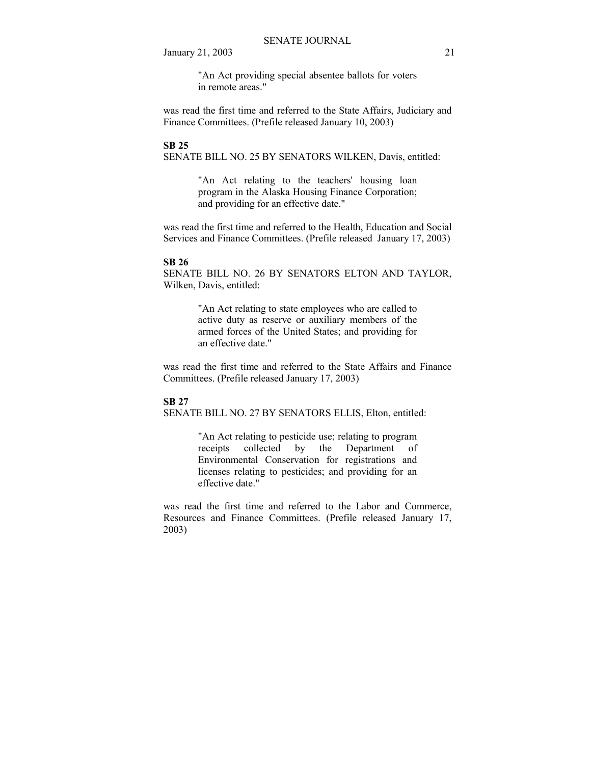"An Act providing special absentee ballots for voters in remote areas."

was read the first time and referred to the State Affairs, Judiciary and Finance Committees. (Prefile released January 10, 2003)

### **SB 25**

SENATE BILL NO. 25 BY SENATORS WILKEN, Davis, entitled:

"An Act relating to the teachers' housing loan program in the Alaska Housing Finance Corporation; and providing for an effective date."

was read the first time and referred to the Health, Education and Social Services and Finance Committees. (Prefile released January 17, 2003)

#### **SB 26**

SENATE BILL NO. 26 BY SENATORS ELTON AND TAYLOR, Wilken, Davis, entitled:

> "An Act relating to state employees who are called to active duty as reserve or auxiliary members of the armed forces of the United States; and providing for an effective date."

was read the first time and referred to the State Affairs and Finance Committees. (Prefile released January 17, 2003)

### **SB 27**

SENATE BILL NO. 27 BY SENATORS ELLIS, Elton, entitled:

"An Act relating to pesticide use; relating to program receipts collected by the Department of Environmental Conservation for registrations and licenses relating to pesticides; and providing for an effective date."

was read the first time and referred to the Labor and Commerce, Resources and Finance Committees. (Prefile released January 17, 2003)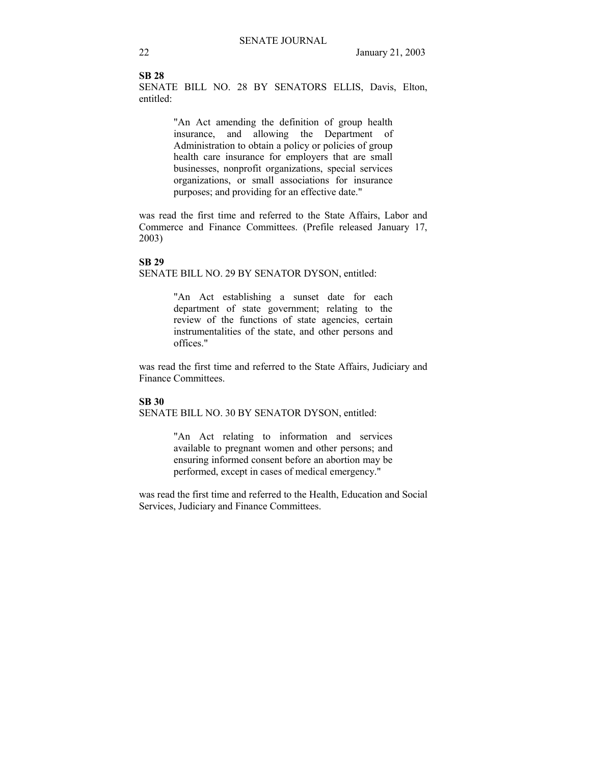### **SB 28**

SENATE BILL NO. 28 BY SENATORS ELLIS, Davis, Elton, entitled:

> "An Act amending the definition of group health insurance, and allowing the Department of Administration to obtain a policy or policies of group health care insurance for employers that are small businesses, nonprofit organizations, special services organizations, or small associations for insurance purposes; and providing for an effective date."

was read the first time and referred to the State Affairs, Labor and Commerce and Finance Committees. (Prefile released January 17, 2003)

#### **SB 29**

SENATE BILL NO. 29 BY SENATOR DYSON, entitled:

"An Act establishing a sunset date for each department of state government; relating to the review of the functions of state agencies, certain instrumentalities of the state, and other persons and offices."

was read the first time and referred to the State Affairs, Judiciary and Finance Committees.

### **SB 30**

SENATE BILL NO. 30 BY SENATOR DYSON, entitled:

"An Act relating to information and services available to pregnant women and other persons; and ensuring informed consent before an abortion may be performed, except in cases of medical emergency."

was read the first time and referred to the Health, Education and Social Services, Judiciary and Finance Committees.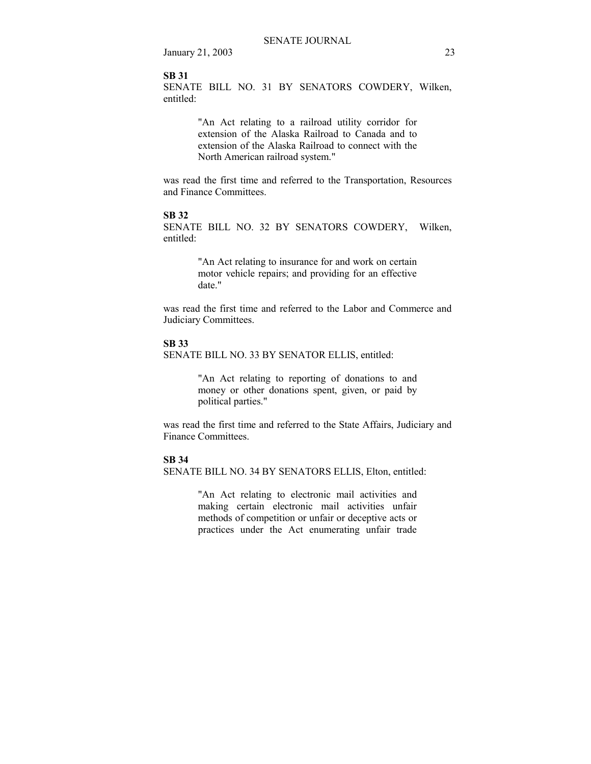#### **SB 31**

SENATE BILL NO. 31 BY SENATORS COWDERY, Wilken, entitled:

> "An Act relating to a railroad utility corridor for extension of the Alaska Railroad to Canada and to extension of the Alaska Railroad to connect with the North American railroad system."

was read the first time and referred to the Transportation, Resources and Finance Committees.

### **SB 32**

SENATE BILL NO. 32 BY SENATORS COWDERY, Wilken, entitled:

> "An Act relating to insurance for and work on certain motor vehicle repairs; and providing for an effective date."

was read the first time and referred to the Labor and Commerce and Judiciary Committees.

#### **SB 33**

SENATE BILL NO. 33 BY SENATOR ELLIS, entitled:

"An Act relating to reporting of donations to and money or other donations spent, given, or paid by political parties."

was read the first time and referred to the State Affairs, Judiciary and Finance Committees.

#### **SB 34**

SENATE BILL NO. 34 BY SENATORS ELLIS, Elton, entitled:

"An Act relating to electronic mail activities and making certain electronic mail activities unfair methods of competition or unfair or deceptive acts or practices under the Act enumerating unfair trade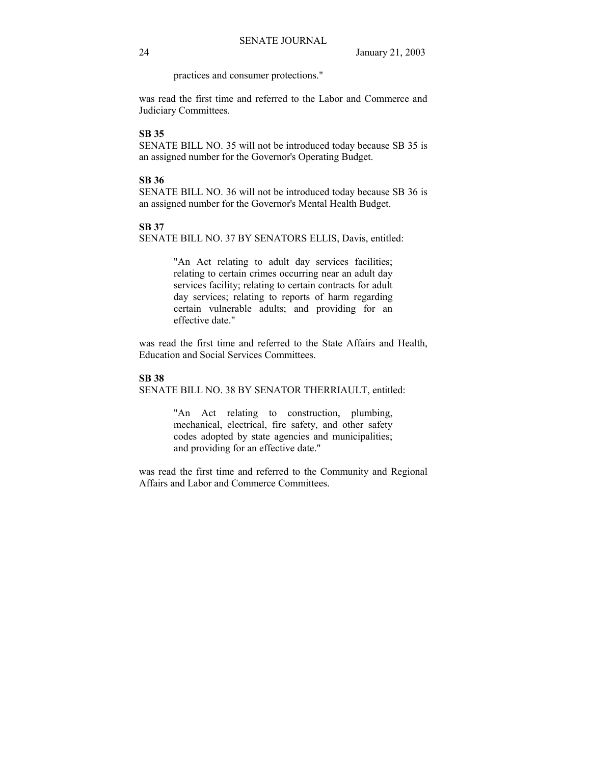practices and consumer protections."

was read the first time and referred to the Labor and Commerce and Judiciary Committees.

# **SB 35**

SENATE BILL NO. 35 will not be introduced today because SB 35 is an assigned number for the Governor's Operating Budget.

### **SB 36**

SENATE BILL NO. 36 will not be introduced today because SB 36 is an assigned number for the Governor's Mental Health Budget.

### **SB 37**

SENATE BILL NO. 37 BY SENATORS ELLIS, Davis, entitled:

"An Act relating to adult day services facilities; relating to certain crimes occurring near an adult day services facility; relating to certain contracts for adult day services; relating to reports of harm regarding certain vulnerable adults; and providing for an effective date."

was read the first time and referred to the State Affairs and Health, Education and Social Services Committees.

#### **SB 38**

SENATE BILL NO. 38 BY SENATOR THERRIAULT, entitled:

"An Act relating to construction, plumbing, mechanical, electrical, fire safety, and other safety codes adopted by state agencies and municipalities; and providing for an effective date."

was read the first time and referred to the Community and Regional Affairs and Labor and Commerce Committees.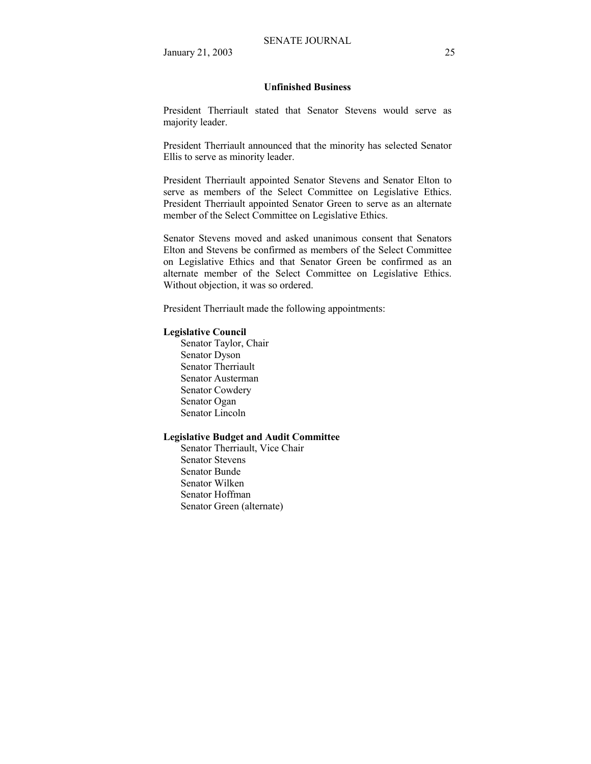#### **Unfinished Business**

President Therriault stated that Senator Stevens would serve as majority leader.

President Therriault announced that the minority has selected Senator Ellis to serve as minority leader.

President Therriault appointed Senator Stevens and Senator Elton to serve as members of the Select Committee on Legislative Ethics. President Therriault appointed Senator Green to serve as an alternate member of the Select Committee on Legislative Ethics.

Senator Stevens moved and asked unanimous consent that Senators Elton and Stevens be confirmed as members of the Select Committee on Legislative Ethics and that Senator Green be confirmed as an alternate member of the Select Committee on Legislative Ethics. Without objection, it was so ordered.

President Therriault made the following appointments:

#### **Legislative Council**

Senator Taylor, Chair Senator Dyson Senator Therriault Senator Austerman Senator Cowdery Senator Ogan Senator Lincoln

### **Legislative Budget and Audit Committee**

Senator Therriault, Vice Chair Senator Stevens Senator Bunde Senator Wilken Senator Hoffman Senator Green (alternate)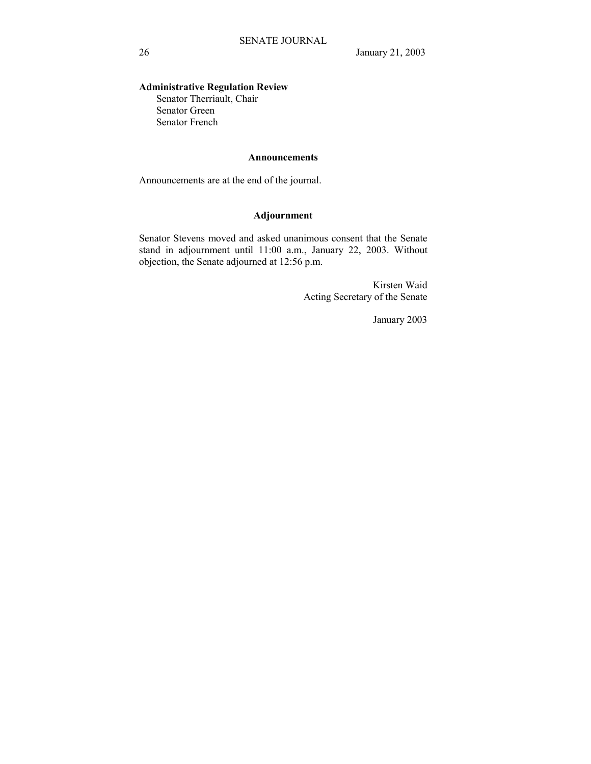# **Administrative Regulation Review**

Senator Therriault, Chair Senator Green Senator French

### **Announcements**

Announcements are at the end of the journal.

# **Adjournment**

Senator Stevens moved and asked unanimous consent that the Senate stand in adjournment until 11:00 a.m., January 22, 2003. Without objection, the Senate adjourned at 12:56 p.m.

> Kirsten Waid Acting Secretary of the Senate

> > January 2003